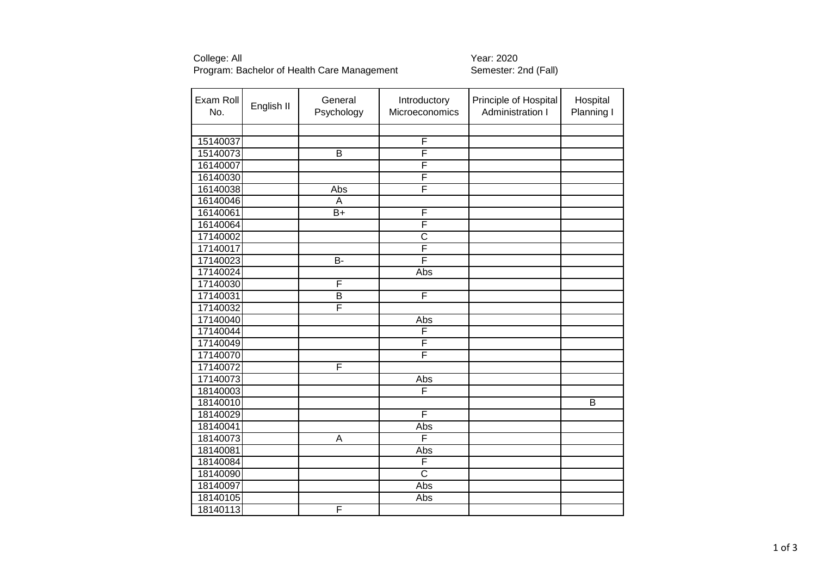# College: All Year: 2020 Program: Bachelor of Health Care Management \_\_\_\_\_\_\_\_\_\_\_\_\_\_Semester: 2nd (Fall)

| Exam Roll<br>No. | English II | General<br>Psychology   | Introductory<br>Microeconomics | Principle of Hospital<br>Administration I | Hospital<br>Planning I |
|------------------|------------|-------------------------|--------------------------------|-------------------------------------------|------------------------|
|                  |            |                         |                                |                                           |                        |
| 15140037         |            |                         | F                              |                                           |                        |
| 15140073         |            | $\overline{B}$          | F                              |                                           |                        |
| 16140007         |            |                         | F                              |                                           |                        |
| 16140030         |            |                         | F                              |                                           |                        |
| 16140038         |            | Abs                     | F                              |                                           |                        |
| 16140046         |            | A                       |                                |                                           |                        |
| 16140061         |            | $B+$                    | F                              |                                           |                        |
| 16140064         |            |                         | F                              |                                           |                        |
| 17140002         |            |                         | $\overline{C}$                 |                                           |                        |
| 17140017         |            |                         | F                              |                                           |                        |
| 17140023         |            | B-                      | F                              |                                           |                        |
| 17140024         |            |                         | Abs                            |                                           |                        |
| 17140030         |            | F                       |                                |                                           |                        |
| 17140031         |            | B                       | F                              |                                           |                        |
| 17140032         |            | F                       |                                |                                           |                        |
| 17140040         |            |                         | Abs                            |                                           |                        |
| 17140044         |            |                         | F                              |                                           |                        |
| 17140049         |            |                         | F                              |                                           |                        |
| 17140070         |            |                         | F                              |                                           |                        |
| 17140072         |            | F                       |                                |                                           |                        |
| 17140073         |            |                         | Abs                            |                                           |                        |
| 18140003         |            |                         | F                              |                                           |                        |
| 18140010         |            |                         |                                |                                           | $\overline{B}$         |
| 18140029         |            |                         | F                              |                                           |                        |
| 18140041         |            |                         | Abs                            |                                           |                        |
| 18140073         |            | $\overline{\mathsf{A}}$ | F                              |                                           |                        |
| 18140081         |            |                         | Abs                            |                                           |                        |
| 18140084         |            |                         | F                              |                                           |                        |
| 18140090         |            |                         | $\overline{\text{c}}$          |                                           |                        |
| 18140097         |            |                         | Abs                            |                                           |                        |
| 18140105         |            |                         | Abs                            |                                           |                        |
| 18140113         |            | F                       |                                |                                           |                        |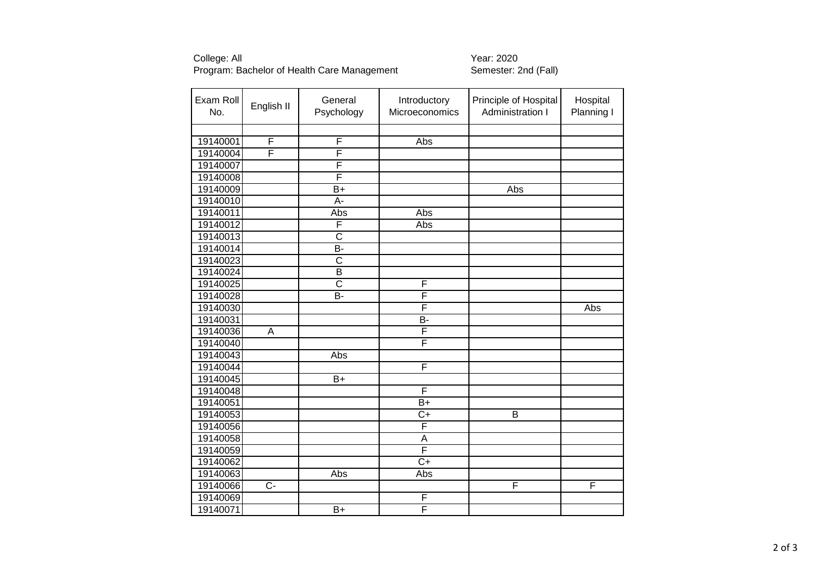# College: All Year: 2020 Program: Bachelor of Health Care Management \_\_\_\_\_\_\_\_\_\_\_\_\_\_Semester: 2nd (Fall)

| Exam Roll<br>No. | English II     | General<br>Psychology | Introductory<br>Microeconomics | Principle of Hospital<br>Administration I | Hospital<br>Planning I |
|------------------|----------------|-----------------------|--------------------------------|-------------------------------------------|------------------------|
|                  |                |                       |                                |                                           |                        |
| 19140001         | $\overline{F}$ | F                     | Abs                            |                                           |                        |
| 19140004         | F              | F                     |                                |                                           |                        |
| 19140007         |                | F                     |                                |                                           |                        |
| 19140008         |                | F                     |                                |                                           |                        |
| 19140009         |                | $\overline{B+}$       |                                | Abs                                       |                        |
| 19140010         |                | A-                    |                                |                                           |                        |
| 19140011         |                | Abs                   | Abs                            |                                           |                        |
| 19140012         |                | F                     | Abs                            |                                           |                        |
| 19140013         |                | $\overline{\text{c}}$ |                                |                                           |                        |
| 19140014         |                | B-                    |                                |                                           |                        |
| 19140023         |                | $\overline{\text{c}}$ |                                |                                           |                        |
| 19140024         |                | B                     |                                |                                           |                        |
| 19140025         |                | $\overline{\text{c}}$ | F                              |                                           |                        |
| 19140028         |                | B-                    | F                              |                                           |                        |
| 19140030         |                |                       | F                              |                                           | Abs                    |
| 19140031         |                |                       | $\overline{B}$                 |                                           |                        |
| 19140036         | $\overline{A}$ |                       | F                              |                                           |                        |
| 19140040         |                |                       | F                              |                                           |                        |
| 19140043         |                | $\overline{Abs}$      |                                |                                           |                        |
| 19140044         |                |                       | F                              |                                           |                        |
| 19140045         |                | $B+$                  |                                |                                           |                        |
| 19140048         |                |                       | F                              |                                           |                        |
| 19140051         |                |                       | $\overline{B+}$                |                                           |                        |
| 19140053         |                |                       | $\overline{C+}$                | B                                         |                        |
| 19140056         |                |                       | $\overline{\mathsf{F}}$        |                                           |                        |
| 19140058         |                |                       | $\overline{A}$                 |                                           |                        |
| 19140059         |                |                       | F                              |                                           |                        |
| 19140062         |                |                       | $\overline{C+}$                |                                           |                        |
| 19140063         |                | Abs                   | Abs                            |                                           |                        |
| 19140066         | $\overline{C}$ |                       |                                | $\overline{F}$                            | F                      |
| 19140069         |                |                       | F                              |                                           |                        |
| 19140071         |                | $\overline{B+}$       | F                              |                                           |                        |